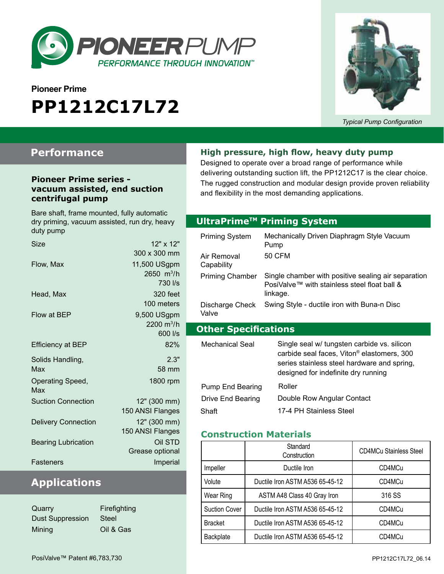

# **Pioneer Prime PP1212C17L72**



*Typical Pump Configuration*

## **Performance**

#### **Pioneer Prime series vacuum assisted, end suction centrifugal pump**

Bare shaft, frame mounted, fully automatic dry priming, vacuum assisted, run dry, heavy duty pump Size  $12" \times 12"$ 

| Size                       | $12 - 8$ $12 -$               |
|----------------------------|-------------------------------|
|                            | 300 x 300 mm                  |
| Flow, Max                  | 11,500 USgpm                  |
|                            | $2650 \, \text{m}^3/\text{h}$ |
|                            | 730 l/s                       |
| Head, Max                  | 320 feet                      |
|                            | 100 meters                    |
| Flow at BEP                | 9,500 USgpm                   |
|                            | 2200 $m^3/h$                  |
|                            | 600 l/s                       |
| <b>Efficiency at BEP</b>   | 82%                           |
| Solids Handling,           | 2.3"                          |
| Max                        | 58 mm                         |
| Operating Speed,           | 1800 rpm                      |
| Max                        |                               |
| <b>Suction Connection</b>  | 12" (300 mm)                  |
|                            | 150 ANSI Flanges              |
| <b>Delivery Connection</b> | 12" (300 mm)                  |
|                            | 150 ANSI Flanges              |
| <b>Bearing Lubrication</b> | Oil STD                       |
|                            | Grease optional               |
| Fasteners                  | Imperial                      |
|                            |                               |

## **Applications**

| Quarry           | Firefi |
|------------------|--------|
| Dust Suppression | Steel  |
| Mining           | Oil &  |

fighting & Gas

#### **High pressure, high flow, heavy duty pump**

Designed to operate over a broad range of performance while delivering outstanding suction lift, the PP1212C17 is the clear choice. The rugged construction and modular design provide proven reliability and flexibility in the most demanding applications.

#### **Optional Priming System UltraPrimeTM Priming System**

| Priming System              | Mechanically Driven Diaphragm Style Vacuum<br>Pump                                                                                                                                          |  |
|-----------------------------|---------------------------------------------------------------------------------------------------------------------------------------------------------------------------------------------|--|
| Air Removal<br>Capability   | 50 CFM                                                                                                                                                                                      |  |
| <b>Priming Chamber</b>      | Single chamber with positive sealing air separation<br>PosiValve™ with stainless steel float ball &<br>linkage.                                                                             |  |
| Discharge Check<br>Valve    | Swing Style - ductile iron with Buna-n Disc                                                                                                                                                 |  |
| <b>Other Specifications</b> |                                                                                                                                                                                             |  |
|                             |                                                                                                                                                                                             |  |
| Mechanical Seal             | Single seal w/ tungsten carbide vs. silicon<br>carbide seal faces, Viton <sup>®</sup> elastomers, 300<br>series stainless steel hardware and spring,<br>designed for indefinite dry running |  |
| Pump End Bearing            | Roller                                                                                                                                                                                      |  |
| Drive End Bearing           | Double Row Angular Contact                                                                                                                                                                  |  |

#### **Construction Materials**

|                      | Standard<br>Construction        | <b>CD4MCu Stainless Steel</b> |
|----------------------|---------------------------------|-------------------------------|
| Impeller             | Ductile Iron                    | CD4MCu                        |
| Volute               | Ductile Iron ASTM A536 65-45-12 | CD4MCu                        |
| Wear Ring            | ASTM A48 Class 40 Gray Iron     | 316 SS                        |
| <b>Suction Cover</b> | Ductile Iron ASTM A536 65-45-12 | CD4MCu                        |
| <b>Bracket</b>       | Ductile Iron ASTM A536 65-45-12 | CD4MCu                        |
| Backplate            | Ductile Iron ASTM A536 65-45-12 | CD4MCu                        |